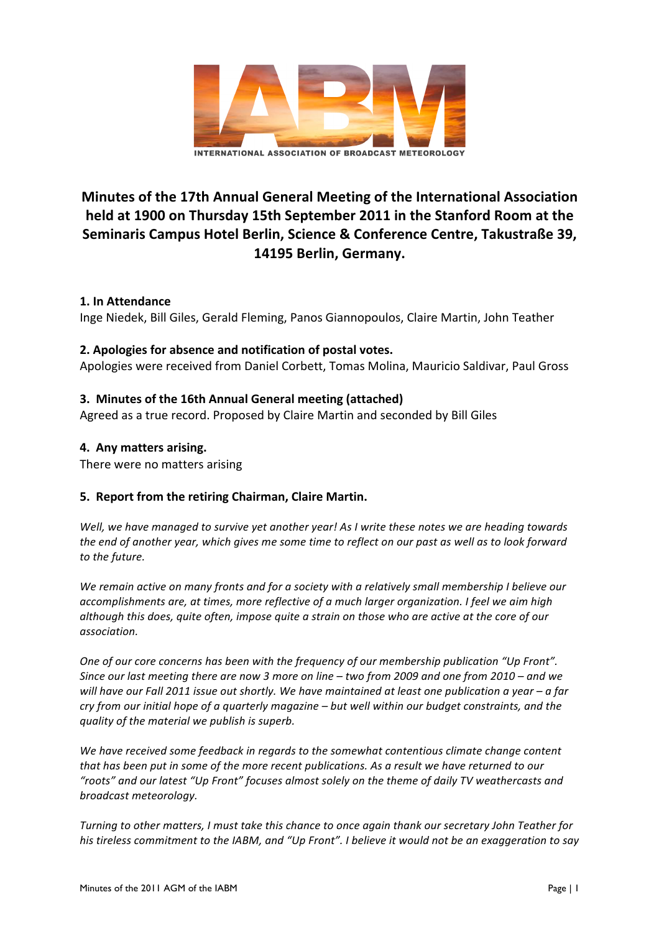

# **Minutes of the 17th Annual General Meeting of the International Association** held at 1900 on Thursday 15th September 2011 in the Stanford Room at the **Seminaris Campus Hotel Berlin, Science & Conference Centre, Takustraße 39,** 14195 Berlin, Germany.

## **1. In Attendance**

Inge Niedek, Bill Giles, Gerald Fleming, Panos Giannopoulos, Claire Martin, John Teather

## **2. Apologies for absence and notification of postal votes.**

Apologies were received from Daniel Corbett, Tomas Molina, Mauricio Saldivar, Paul Gross

## **3. Minutes of the 16th Annual General meeting (attached)**

Agreed as a true record. Proposed by Claire Martin and seconded by Bill Giles

## **4. Any matters arising.**

There were no matters arising

## **5. Report from the retiring Chairman, Claire Martin.**

Well, we have managed to survive yet another year! As I write these notes we are heading towards the end of another year, which gives me some time to reflect on our past as well as to look forward to the future.

We remain active on many fronts and for a society with a relatively small membership I believe our accomplishments are, at times, more reflective of a much larger organization. I feel we aim high *although this does, quite often, impose quite a strain on those who are active at the core of our association.*

*One* of our core concerns has been with the frequency of our membership publication "Up Front". *Since our last meeting there are now 3 more on line* – *two from 2009 and one from 2010* – *and we will have our Fall 2011 issue out shortly. We have maintained at least one publication a year – a far cry* from our initial hope of a quarterly magazine – but well within our budget constraints, and the *quality* of the material we publish is superb.

We have received some feedback in regards to the somewhat contentious climate change content that has been put in some of the more recent publications. As a result we have returned to our "roots" and our latest "Up Front" focuses almost solely on the theme of daily TV weathercasts and *broadcast meteorology.* 

*Turning* to other matters, I must take this chance to once again thank our secretary John Teather for his tireless commitment to the IABM, and "Up Front". I believe it would not be an exaggeration to say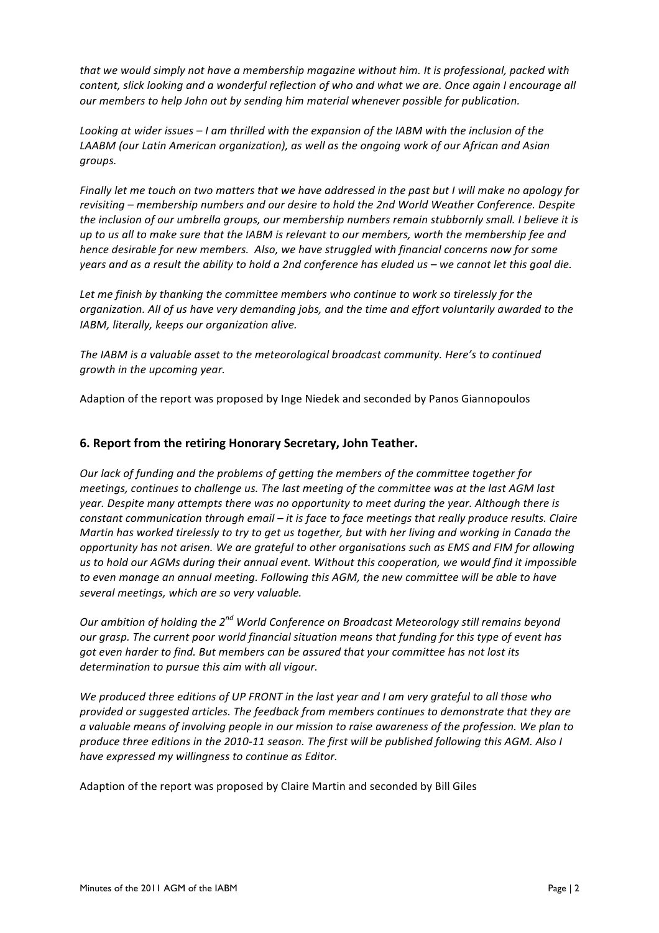*that* we would simply not have a membership magazine without him. It is professional, packed with *content, slick looking and a wonderful reflection of who and what we are. Once again I encourage all our* members to help John out by sending him material whenever possible for publication.

Looking at wider issues – I am thrilled with the expansion of the IABM with the inclusion of the LAABM (our Latin American organization), as well as the ongoing work of our African and Asian *groups.*

*Finally let me touch on two matters that we have addressed in the past but I will make no apology for* revisiting – membership numbers and our desire to hold the 2nd World Weather Conference. Despite the inclusion of our umbrella groups, our membership numbers remain stubbornly small. I believe it is *up* to us all to make sure that the IABM is relevant to our members, worth the membership fee and *hence desirable for new members. Also, we have struggled with financial concerns now for some years* and as a result the ability to hold a 2nd conference has eluded us – we cannot let this goal die.

Let me finish by thanking the committee members who continue to work so tirelessly for the *organization.* All of us have very demanding jobs, and the time and effort voluntarily awarded to the *IABM, literally, keeps our organization alive.* 

The IABM is a valuable asset to the meteorological broadcast community. Here's to continued *growth in the upcoming year.* 

Adaption of the report was proposed by Inge Niedek and seconded by Panos Giannopoulos

#### **6. Report from the retiring Honorary Secretary, John Teather.**

*Our lack of funding and the problems of getting the members of the committee together for meetings, continues to challenge us. The last meeting of the committee was at the last AGM last* year. Despite many attempts there was no opportunity to meet during the year. Although there is *constant communication through email – it is face to face meetings that really produce results. Claire Martin has worked tirelessly to try to get us together, but with her living and working in Canada the opportunity has not arisen. We are grateful to other organisations such as EMS and FIM for allowing* us to hold our AGMs during their annual event. Without this cooperation, we would find it impossible to even manage an annual meeting. Following this AGM, the new committee will be able to have several meetings, which are so very valuable.

*Our ambition of holding the*  $2^{nd}$  *World Conference on Broadcast Meteorology still remains beyond our* grasp. The current poor world financial situation means that funding for this type of event has *got even harder to find. But members can be assured that your committee has not lost its* determination to pursue this aim with all vigour.

We produced *three editions of UP FRONT* in the last year and I am very grateful to all those who *provided or suggested articles. The feedback from members continues to demonstrate that they are a* valuable means of involving people in our mission to raise awareness of the profession. We plan to *produce three editions in the 2010-11 season. The first will be published following this AGM. Also I* have expressed my willingness to continue as Editor.

Adaption of the report was proposed by Claire Martin and seconded by Bill Giles